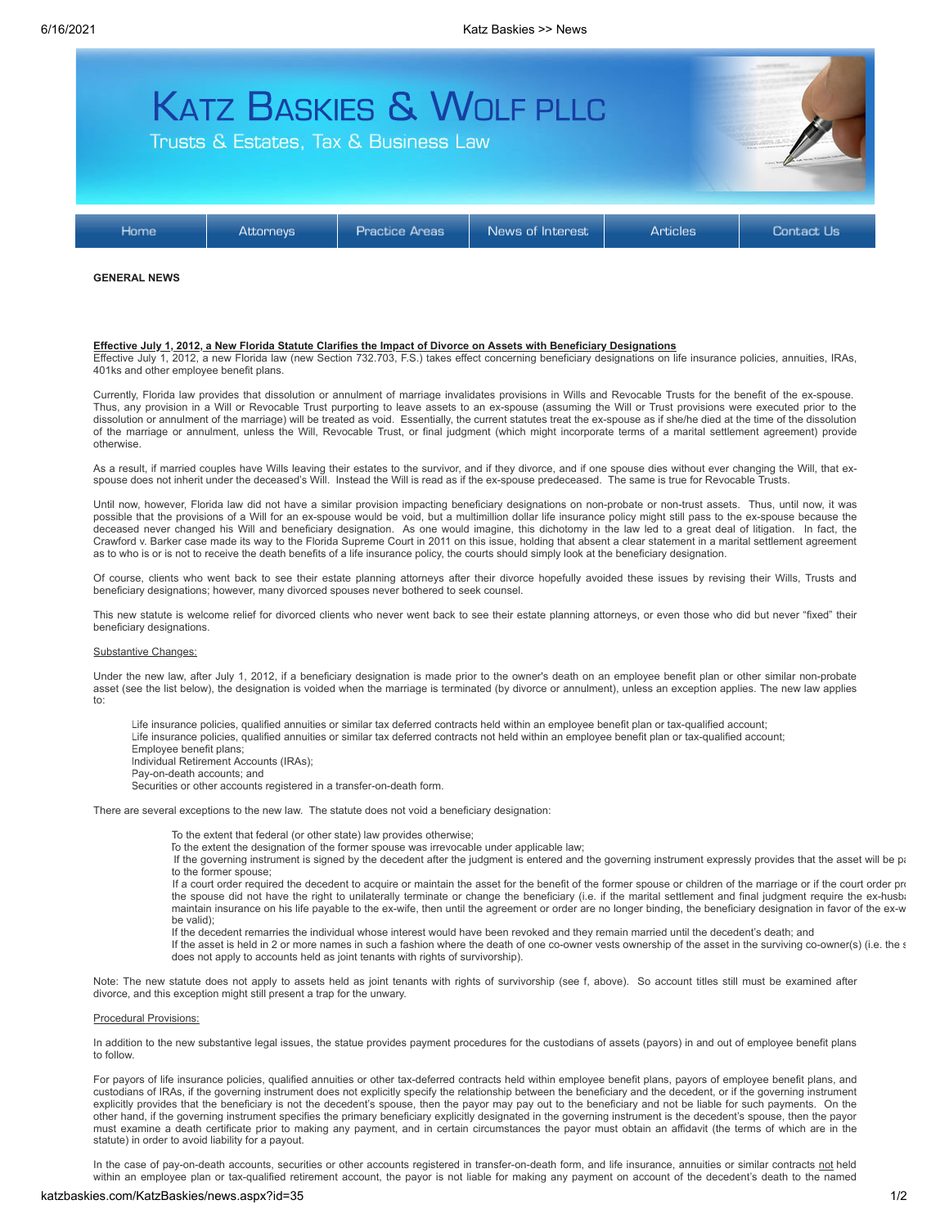

### **GENERAL NEWS**

## **Effective July 1, 2012, a New Florida Statute Clarifies the Impact of Divorce on Assets with Beneficiary Designations**

Effective July 1, 2012, a new Florida law (new Section 732.703, F.S.) takes effect concerning beneficiary designations on life insurance policies, annuities, IRAs, 401ks and other employee benefit plans.

Currently, Florida law provides that dissolution or annulment of marriage invalidates provisions in Wills and Revocable Trusts for the benefit of the ex-spouse. Thus, any provision in a Will or Revocable Trust purporting to leave assets to an ex-spouse (assuming the Will or Trust provisions were executed prior to the dissolution or annulment of the marriage) will be treated as void. Essentially, the current statutes treat the ex-spouse as if she/he died at the time of the dissolution of the marriage or annulment, unless the Will, Revocable Trust, or final judgment (which might incorporate terms of a marital settlement agreement) provide otherwise.

As a result, if married couples have Wills leaving their estates to the survivor, and if they divorce, and if one spouse dies without ever changing the Will, that exspouse does not inherit under the deceased's Will. Instead the Will is read as if the ex-spouse predeceased. The same is true for Revocable Trusts.

Until now, however, Florida law did not have a similar provision impacting beneficiary designations on non-probate or non-trust assets. Thus, until now, it was possible that the provisions of a Will for an ex-spouse would be void, but a multimillion dollar life insurance policy might still pass to the ex-spouse because the deceased never changed his Will and beneficiary designation. As one would imagine, this dichotomy in the law led to a great deal of litigation. In fact, the Crawford v. Barker case made its way to the Florida Supreme Court in 2011 on this issue, holding that absent a clear statement in a marital settlement agreement as to who is or is not to receive the death benefits of a life insurance policy, the courts should simply look at the beneficiary designation.

Of course, clients who went back to see their estate planning attorneys after their divorce hopefully avoided these issues by revising their Wills, Trusts and beneficiary designations; however, many divorced spouses never bothered to seek counsel.

This new statute is welcome relief for divorced clients who never went back to see their estate planning attorneys, or even those who did but never "fixed" their beneficiary designations.

### Substantive Changes:

Under the new law, after July 1, 2012, if a beneficiary designation is made prior to the owner's death on an employee benefit plan or other similar non-probate asset (see the list below), the designation is voided when the marriage is terminated (by divorce or annulment), unless an exception applies. The new law applies to:

Life insurance policies, qualified annuities or similar tax deferred contracts held within an employee benefit plan or tax-qualified account; Life insurance policies, qualified annuities or similar tax deferred contracts not held within an employee benefit plan or tax-qualified account; Employee benefit plans;

Individual Retirement Accounts (IRAs);

Pay-on-death accounts; and

Securities or other accounts registered in a transfer-on-death form.

There are several exceptions to the new law. The statute does not void a beneficiary designation:

To the extent that federal (or other state) law provides otherwise;

To the extent the designation of the former spouse was irrevocable under applicable law;

If the governing instrument is signed by the decedent after the judgment is entered and the governing instrument expressly provides that the asset will be pa to the former spouse;

If a court order required the decedent to acquire or maintain the asset for the benefit of the former spouse or children of the marriage or if the court order pro the spouse did not have the right to unilaterally terminate or change the beneficiary (i.e. if the marital settlement and final judgment require the ex-husba maintain insurance on his life payable to the ex-wife, then until the agreement or order are no longer binding, the beneficiary designation in favor of the ex-w be valid);

If the decedent remarries the individual whose interest would have been revoked and they remain married until the decedent's death; and

If the asset is held in 2 or more names in such a fashion where the death of one co-owner vests ownership of the asset in the surviving co-owner(s) (i.e. the s does not apply to accounts held as joint tenants with rights of survivorship).

Note: The new statute does not apply to assets held as joint tenants with rights of survivorship (see f, above). So account titles still must be examined after divorce, and this exception might still present a trap for the unwary.

### Procedural Provisions:

In addition to the new substantive legal issues, the statue provides payment procedures for the custodians of assets (payors) in and out of employee benefit plans to follow.

For payors of life insurance policies, qualified annuities or other tax-deferred contracts held within employee benefit plans, payors of employee benefit plans, and custodians of IRAs, if the governing instrument does not explicitly specify the relationship between the beneficiary and the decedent, or if the governing instrument explicitly provides that the beneficiary is not the decedent's spouse, then the payor may pay out to the beneficiary and not be liable for such payments. On the other hand, if the governing instrument specifies the primary beneficiary explicitly designated in the governing instrument is the decedent's spouse, then the payor must examine a death certificate prior to making any payment, and in certain circumstances the payor must obtain an affidavit (the terms of which are in the statute) in order to avoid liability for a payout.

In the case of pay-on-death accounts, securities or other accounts registered in transfer-on-death form, and life insurance, annuities or similar contracts not held within an employee plan or tax-qualified retirement account, the payor is not liable for making any payment on account of the decedent's death to the named